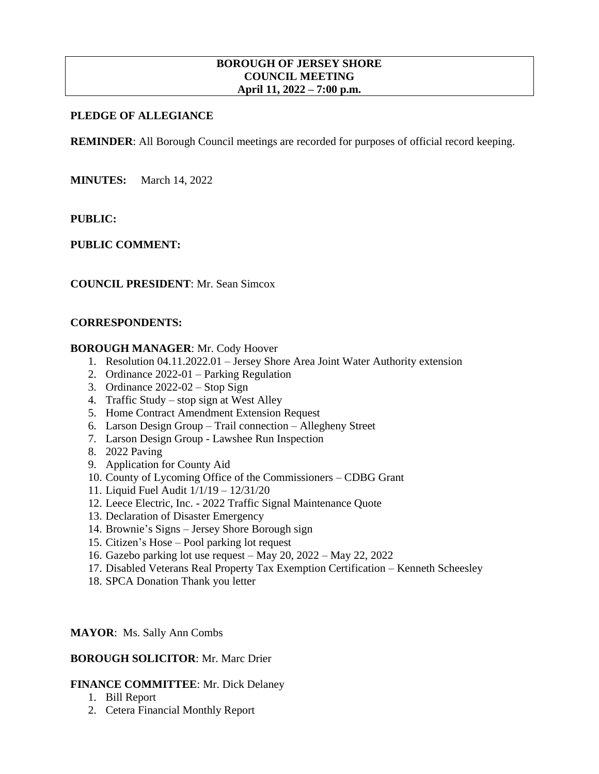## **BOROUGH OF JERSEY SHORE COUNCIL MEETING April 11, 2022 – 7:00 p.m.**

# **PLEDGE OF ALLEGIANCE**

**REMINDER:** All Borough Council meetings are recorded for purposes of official record keeping.

**MINUTES:** March 14, 2022

**PUBLIC:**

**PUBLIC COMMENT:**

#### **COUNCIL PRESIDENT**: Mr. Sean Simcox

## **CORRESPONDENTS:**

#### **BOROUGH MANAGER**: Mr. Cody Hoover

- 1. Resolution 04.11.2022.01 Jersey Shore Area Joint Water Authority extension
- 2. Ordinance 2022-01 Parking Regulation
- 3. Ordinance 2022-02 Stop Sign
- 4. Traffic Study stop sign at West Alley
- 5. Home Contract Amendment Extension Request
- 6. Larson Design Group Trail connection Allegheny Street
- 7. Larson Design Group Lawshee Run Inspection
- 8. 2022 Paving
- 9. Application for County Aid
- 10. County of Lycoming Office of the Commissioners CDBG Grant
- 11. Liquid Fuel Audit 1/1/19 12/31/20
- 12. Leece Electric, Inc. 2022 Traffic Signal Maintenance Quote
- 13. Declaration of Disaster Emergency
- 14. Brownie's Signs Jersey Shore Borough sign
- 15. Citizen's Hose Pool parking lot request
- 16. Gazebo parking lot use request May 20, 2022 May 22, 2022
- 17. Disabled Veterans Real Property Tax Exemption Certification Kenneth Scheesley
- 18. SPCA Donation Thank you letter

#### **MAYOR**: Ms. Sally Ann Combs

#### **BOROUGH SOLICITOR**: Mr. Marc Drier

# **FINANCE COMMITTEE**: Mr. Dick Delaney

- 1. Bill Report
- 2. Cetera Financial Monthly Report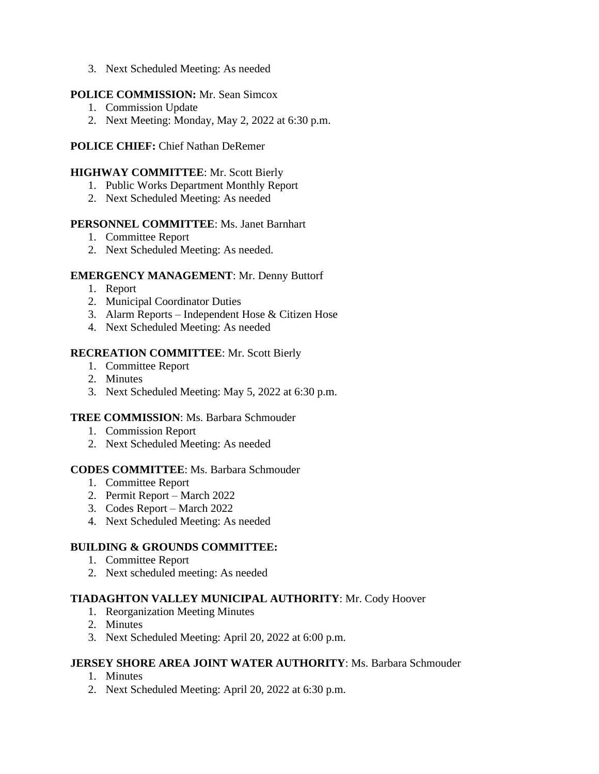3. Next Scheduled Meeting: As needed

## **POLICE COMMISSION:** Mr. Sean Simcox

- 1. Commission Update
- 2. Next Meeting: Monday, May 2, 2022 at 6:30 p.m.

# **POLICE CHIEF:** Chief Nathan DeRemer

## **HIGHWAY COMMITTEE**: Mr. Scott Bierly

- 1. Public Works Department Monthly Report
- 2. Next Scheduled Meeting: As needed

## **PERSONNEL COMMITTEE**: Ms. Janet Barnhart

- 1. Committee Report
- 2. Next Scheduled Meeting: As needed.

## **EMERGENCY MANAGEMENT**: Mr. Denny Buttorf

- 1. Report
- 2. Municipal Coordinator Duties
- 3. Alarm Reports Independent Hose & Citizen Hose
- 4. Next Scheduled Meeting: As needed

# **RECREATION COMMITTEE**: Mr. Scott Bierly

- 1. Committee Report
- 2. Minutes
- 3. Next Scheduled Meeting: May 5, 2022 at 6:30 p.m.

# **TREE COMMISSION**: Ms. Barbara Schmouder

- 1. Commission Report
- 2. Next Scheduled Meeting: As needed

# **CODES COMMITTEE**: Ms. Barbara Schmouder

- 1. Committee Report
- 2. Permit Report March 2022
- 3. Codes Report March 2022
- 4. Next Scheduled Meeting: As needed

# **BUILDING & GROUNDS COMMITTEE:**

- 1. Committee Report
- 2. Next scheduled meeting: As needed

# **TIADAGHTON VALLEY MUNICIPAL AUTHORITY**: Mr. Cody Hoover

- 1. Reorganization Meeting Minutes
- 2. Minutes
- 3. Next Scheduled Meeting: April 20, 2022 at 6:00 p.m.

# **JERSEY SHORE AREA JOINT WATER AUTHORITY**: Ms. Barbara Schmouder

- 1. Minutes
- 2. Next Scheduled Meeting: April 20, 2022 at 6:30 p.m.